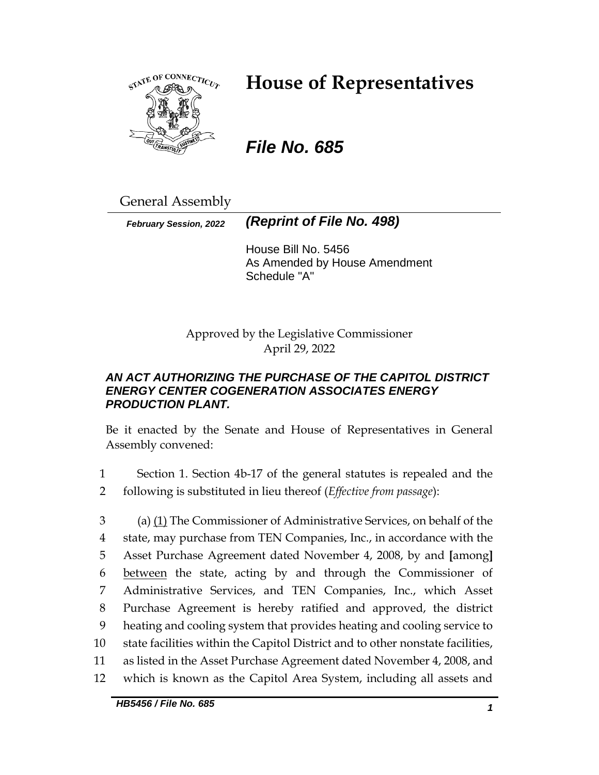

# **House of Representatives**

# *File No. 685*

General Assembly

*February Session, 2022 (Reprint of File No. 498)*

House Bill No. 5456 As Amended by House Amendment Schedule "A"

Approved by the Legislative Commissioner April 29, 2022

## *AN ACT AUTHORIZING THE PURCHASE OF THE CAPITOL DISTRICT ENERGY CENTER COGENERATION ASSOCIATES ENERGY PRODUCTION PLANT.*

Be it enacted by the Senate and House of Representatives in General Assembly convened:

1 Section 1. Section 4b-17 of the general statutes is repealed and the 2 following is substituted in lieu thereof (*Effective from passage*):

 (a) (1) The Commissioner of Administrative Services, on behalf of the state, may purchase from TEN Companies, Inc., in accordance with the Asset Purchase Agreement dated November 4, 2008, by and **[**among**]** between the state, acting by and through the Commissioner of Administrative Services, and TEN Companies, Inc., which Asset Purchase Agreement is hereby ratified and approved, the district heating and cooling system that provides heating and cooling service to state facilities within the Capitol District and to other nonstate facilities, as listed in the Asset Purchase Agreement dated November 4, 2008, and which is known as the Capitol Area System, including all assets and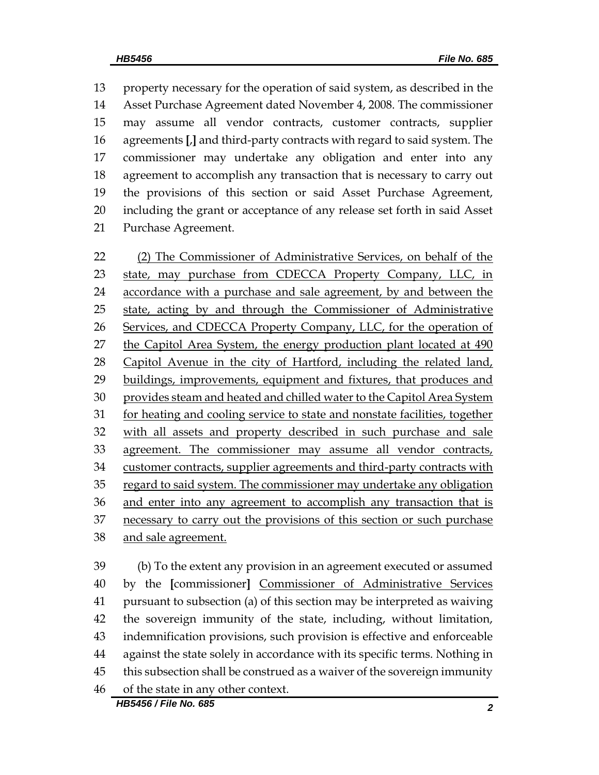property necessary for the operation of said system, as described in the Asset Purchase Agreement dated November 4, 2008. The commissioner may assume all vendor contracts, customer contracts, supplier agreements **[**,**]** and third-party contracts with regard to said system. The commissioner may undertake any obligation and enter into any agreement to accomplish any transaction that is necessary to carry out the provisions of this section or said Asset Purchase Agreement, including the grant or acceptance of any release set forth in said Asset Purchase Agreement.

 (2) The Commissioner of Administrative Services, on behalf of the state, may purchase from CDECCA Property Company, LLC, in accordance with a purchase and sale agreement, by and between the 25 state, acting by and through the Commissioner of Administrative Services, and CDECCA Property Company, LLC, for the operation of 27 the Capitol Area System, the energy production plant located at 490 Capitol Avenue in the city of Hartford, including the related land, buildings, improvements, equipment and fixtures, that produces and 30 provides steam and heated and chilled water to the Capitol Area System for heating and cooling service to state and nonstate facilities, together with all assets and property described in such purchase and sale agreement. The commissioner may assume all vendor contracts, 34 customer contracts, supplier agreements and third-party contracts with 35 regard to said system. The commissioner may undertake any obligation and enter into any agreement to accomplish any transaction that is 37 necessary to carry out the provisions of this section or such purchase and sale agreement.

 (b) To the extent any provision in an agreement executed or assumed by the **[**commissioner**]** Commissioner of Administrative Services pursuant to subsection (a) of this section may be interpreted as waiving the sovereign immunity of the state, including, without limitation, indemnification provisions, such provision is effective and enforceable against the state solely in accordance with its specific terms. Nothing in this subsection shall be construed as a waiver of the sovereign immunity of the state in any other context.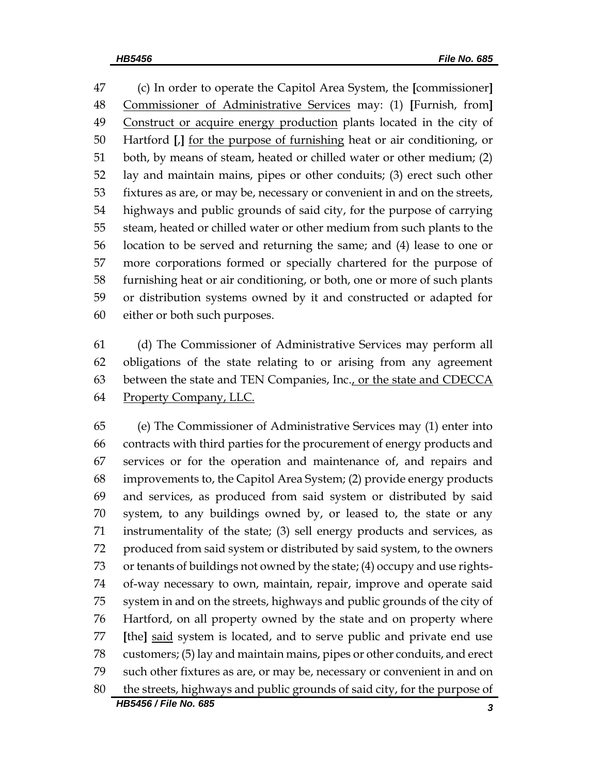(c) In order to operate the Capitol Area System, the **[**commissioner**]** Commissioner of Administrative Services may: (1) **[**Furnish, from**]** Construct or acquire energy production plants located in the city of Hartford **[**,**]** for the purpose of furnishing heat or air conditioning, or both, by means of steam, heated or chilled water or other medium; (2) lay and maintain mains, pipes or other conduits; (3) erect such other fixtures as are, or may be, necessary or convenient in and on the streets, highways and public grounds of said city, for the purpose of carrying steam, heated or chilled water or other medium from such plants to the location to be served and returning the same; and (4) lease to one or more corporations formed or specially chartered for the purpose of furnishing heat or air conditioning, or both, one or more of such plants or distribution systems owned by it and constructed or adapted for either or both such purposes.

 (d) The Commissioner of Administrative Services may perform all obligations of the state relating to or arising from any agreement 63 between the state and TEN Companies, Inc., or the state and CDECCA Property Company, LLC.

*HB5456 / File No. 685 3* (e) The Commissioner of Administrative Services may (1) enter into contracts with third parties for the procurement of energy products and services or for the operation and maintenance of, and repairs and improvements to, the Capitol Area System; (2) provide energy products and services, as produced from said system or distributed by said system, to any buildings owned by, or leased to, the state or any instrumentality of the state; (3) sell energy products and services, as produced from said system or distributed by said system, to the owners or tenants of buildings not owned by the state; (4) occupy and use rights- of-way necessary to own, maintain, repair, improve and operate said system in and on the streets, highways and public grounds of the city of Hartford, on all property owned by the state and on property where **[**the**]** said system is located, and to serve public and private end use customers; (5) lay and maintain mains, pipes or other conduits, and erect such other fixtures as are, or may be, necessary or convenient in and on the streets, highways and public grounds of said city, for the purpose of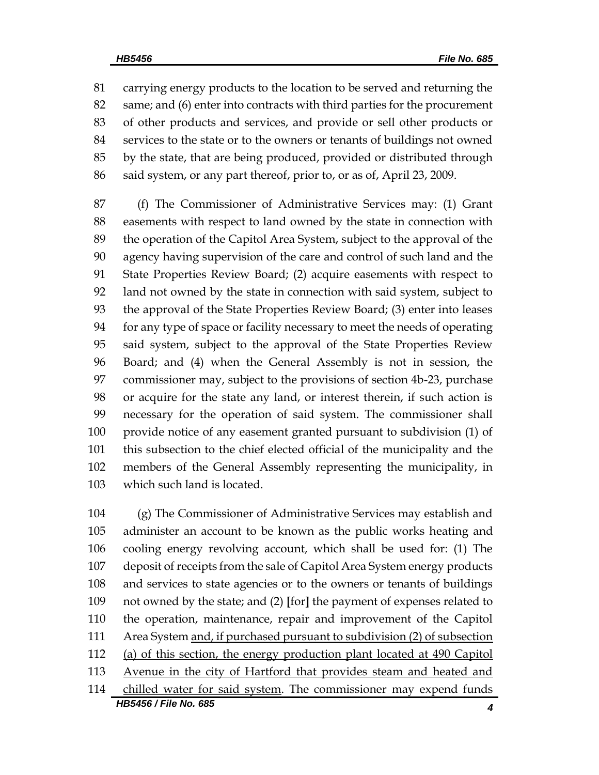carrying energy products to the location to be served and returning the same; and (6) enter into contracts with third parties for the procurement of other products and services, and provide or sell other products or services to the state or to the owners or tenants of buildings not owned by the state, that are being produced, provided or distributed through said system, or any part thereof, prior to, or as of, April 23, 2009.

 (f) The Commissioner of Administrative Services may: (1) Grant easements with respect to land owned by the state in connection with the operation of the Capitol Area System, subject to the approval of the agency having supervision of the care and control of such land and the State Properties Review Board; (2) acquire easements with respect to land not owned by the state in connection with said system, subject to the approval of the State Properties Review Board; (3) enter into leases for any type of space or facility necessary to meet the needs of operating said system, subject to the approval of the State Properties Review Board; and (4) when the General Assembly is not in session, the commissioner may, subject to the provisions of section 4b-23, purchase or acquire for the state any land, or interest therein, if such action is necessary for the operation of said system. The commissioner shall provide notice of any easement granted pursuant to subdivision (1) of this subsection to the chief elected official of the municipality and the members of the General Assembly representing the municipality, in which such land is located.

*HB5456 / File No. 685 4* (g) The Commissioner of Administrative Services may establish and administer an account to be known as the public works heating and cooling energy revolving account, which shall be used for: (1) The deposit of receipts from the sale of Capitol Area System energy products and services to state agencies or to the owners or tenants of buildings not owned by the state; and (2) **[**for**]** the payment of expenses related to the operation, maintenance, repair and improvement of the Capitol 111 Area System and, if purchased pursuant to subdivision (2) of subsection (a) of this section, the energy production plant located at 490 Capitol 113 Avenue in the city of Hartford that provides steam and heated and chilled water for said system. The commissioner may expend funds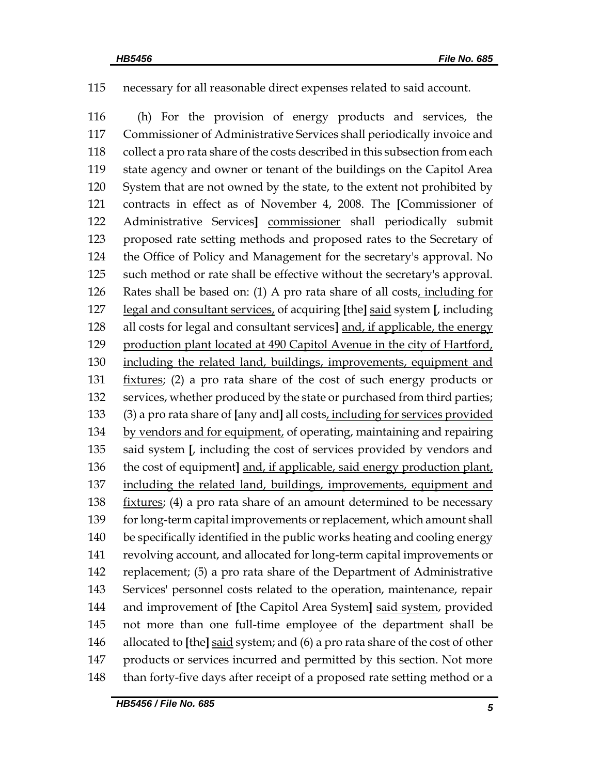necessary for all reasonable direct expenses related to said account.

 (h) For the provision of energy products and services, the Commissioner of Administrative Services shall periodically invoice and collect a pro rata share of the costs described in this subsection from each state agency and owner or tenant of the buildings on the Capitol Area System that are not owned by the state, to the extent not prohibited by contracts in effect as of November 4, 2008. The **[**Commissioner of Administrative Services**]** commissioner shall periodically submit proposed rate setting methods and proposed rates to the Secretary of the Office of Policy and Management for the secretary's approval. No such method or rate shall be effective without the secretary's approval. Rates shall be based on: (1) A pro rata share of all costs, including for legal and consultant services, of acquiring **[**the**]** said system **[**, including all costs for legal and consultant services**]** and, if applicable, the energy 129 production plant located at 490 Capitol Avenue in the city of Hartford, including the related land, buildings, improvements, equipment and fixtures; (2) a pro rata share of the cost of such energy products or services, whether produced by the state or purchased from third parties; (3) a pro rata share of **[**any and**]** all costs, including for services provided by vendors and for equipment, of operating, maintaining and repairing said system **[**, including the cost of services provided by vendors and the cost of equipment**]** and, if applicable, said energy production plant, including the related land, buildings, improvements, equipment and fixtures; (4) a pro rata share of an amount determined to be necessary 139 for long-term capital improvements or replacement, which amount shall be specifically identified in the public works heating and cooling energy revolving account, and allocated for long-term capital improvements or replacement; (5) a pro rata share of the Department of Administrative Services' personnel costs related to the operation, maintenance, repair and improvement of **[**the Capitol Area System**]** said system, provided not more than one full-time employee of the department shall be allocated to **[**the**]** said system; and (6) a pro rata share of the cost of other products or services incurred and permitted by this section. Not more 148 than forty-five days after receipt of a proposed rate setting method or a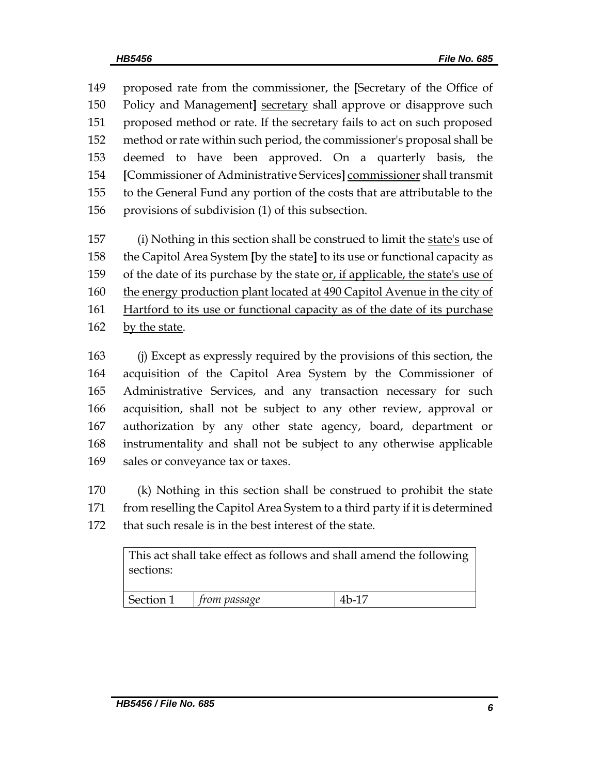proposed rate from the commissioner, the **[**Secretary of the Office of Policy and Management**]** secretary shall approve or disapprove such proposed method or rate. If the secretary fails to act on such proposed method or rate within such period, the commissioner's proposal shall be deemed to have been approved. On a quarterly basis, the **[**Commissioner of Administrative Services**]** commissioner shall transmit to the General Fund any portion of the costs that are attributable to the provisions of subdivision (1) of this subsection.

157 (i) Nothing in this section shall be construed to limit the state's use of the Capitol Area System **[**by the state**]** to its use or functional capacity as of the date of its purchase by the state or, if applicable, the state's use of 160 the energy production plant located at 490 Capitol Avenue in the city of Hartford to its use or functional capacity as of the date of its purchase by the state.

 (j) Except as expressly required by the provisions of this section, the acquisition of the Capitol Area System by the Commissioner of Administrative Services, and any transaction necessary for such acquisition, shall not be subject to any other review, approval or authorization by any other state agency, board, department or instrumentality and shall not be subject to any otherwise applicable sales or conveyance tax or taxes.

 (k) Nothing in this section shall be construed to prohibit the state from reselling the Capitol Area System to a third party if it is determined that such resale is in the best interest of the state.

| sections: | This act shall take effect as follows and shall amend the following |       |
|-----------|---------------------------------------------------------------------|-------|
| Section 1 | $\mid$ from passage                                                 | 4b-17 |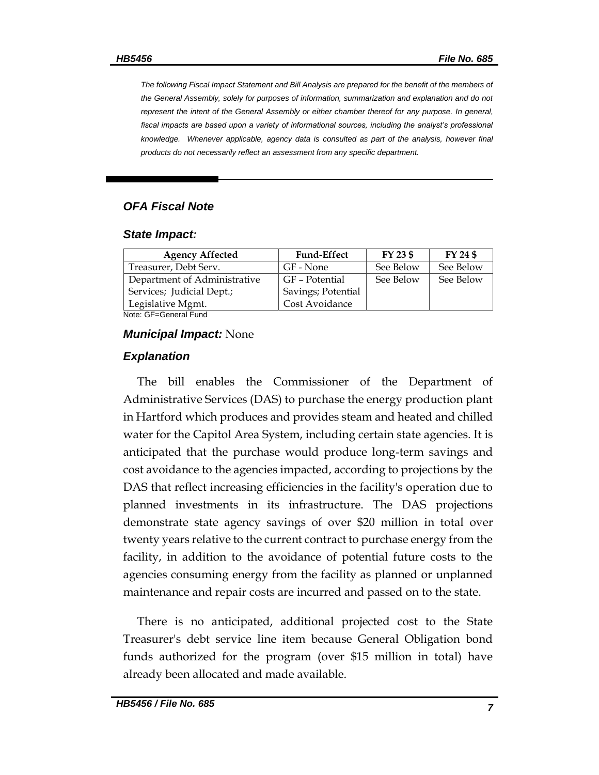*The following Fiscal Impact Statement and Bill Analysis are prepared for the benefit of the members of the General Assembly, solely for purposes of information, summarization and explanation and do not represent the intent of the General Assembly or either chamber thereof for any purpose. In general,*  fiscal impacts are based upon a variety of informational sources, including the analyst's professional *knowledge. Whenever applicable, agency data is consulted as part of the analysis, however final products do not necessarily reflect an assessment from any specific department.*

### *OFA Fiscal Note*

#### *State Impact:*

| <b>Agency Affected</b>                     | <b>Fund-Effect</b> | FY 23 \$  | FY 24 \$  |
|--------------------------------------------|--------------------|-----------|-----------|
| Treasurer, Debt Serv.                      | GF - None          | See Below | See Below |
| Department of Administrative               | GF – Potential     | See Below | See Below |
| Services; Judicial Dept.;                  | Savings; Potential |           |           |
| Legislative Mgmt.                          | Cost Avoidance     |           |           |
| $M = 1 - \Omega F$ $\Omega = 1 - \Omega F$ |                    |           |           |

Note: GF=General Fund

#### *Municipal Impact:* None

#### *Explanation*

The bill enables the Commissioner of the Department of Administrative Services (DAS) to purchase the energy production plant in Hartford which produces and provides steam and heated and chilled water for the Capitol Area System, including certain state agencies. It is anticipated that the purchase would produce long-term savings and cost avoidance to the agencies impacted, according to projections by the DAS that reflect increasing efficiencies in the facility's operation due to planned investments in its infrastructure. The DAS projections demonstrate state agency savings of over \$20 million in total over twenty years relative to the current contract to purchase energy from the facility, in addition to the avoidance of potential future costs to the agencies consuming energy from the facility as planned or unplanned maintenance and repair costs are incurred and passed on to the state.

There is no anticipated, additional projected cost to the State Treasurer's debt service line item because General Obligation bond funds authorized for the program (over \$15 million in total) have already been allocated and made available.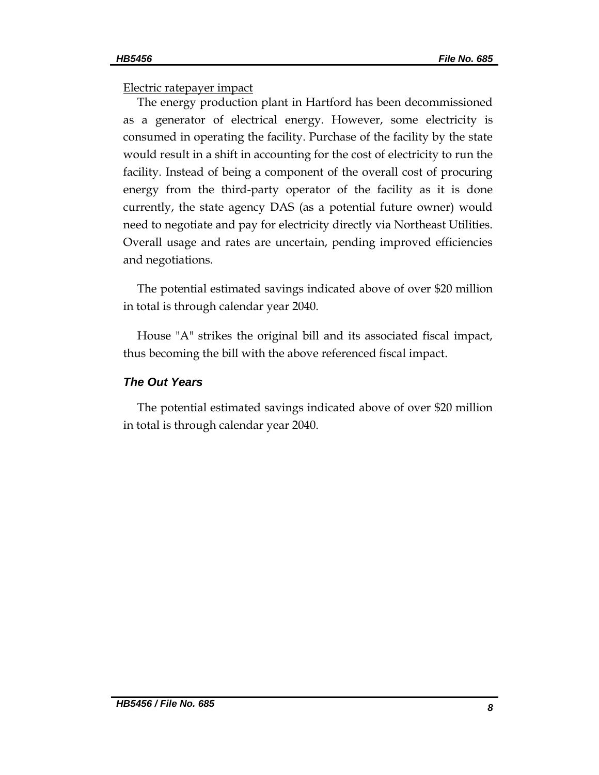## Electric ratepayer impact

The energy production plant in Hartford has been decommissioned as a generator of electrical energy. However, some electricity is consumed in operating the facility. Purchase of the facility by the state would result in a shift in accounting for the cost of electricity to run the facility. Instead of being a component of the overall cost of procuring energy from the third-party operator of the facility as it is done currently, the state agency DAS (as a potential future owner) would need to negotiate and pay for electricity directly via Northeast Utilities. Overall usage and rates are uncertain, pending improved efficiencies and negotiations.

The potential estimated savings indicated above of over \$20 million in total is through calendar year 2040.

House "A" strikes the original bill and its associated fiscal impact, thus becoming the bill with the above referenced fiscal impact.

## *The Out Years*

The potential estimated savings indicated above of over \$20 million in total is through calendar year 2040.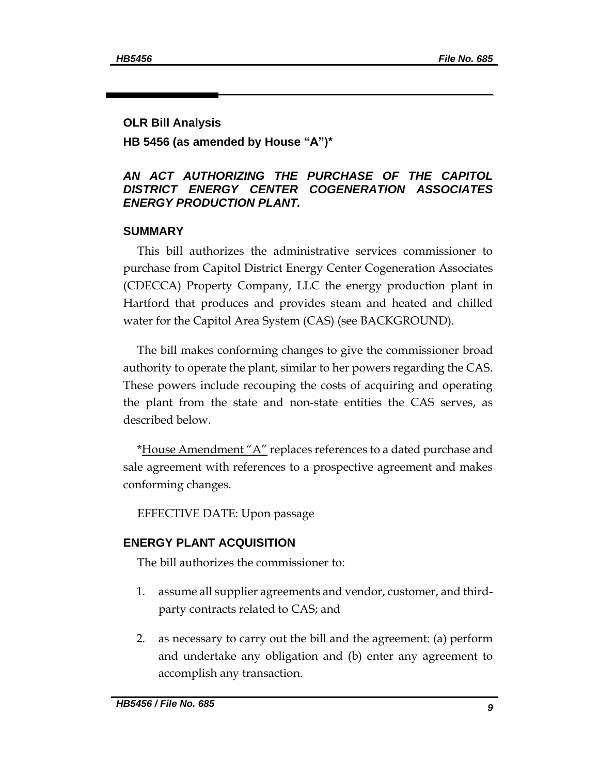### **OLR Bill Analysis**

## **HB 5456 (as amended by House "A")\***

## *AN ACT AUTHORIZING THE PURCHASE OF THE CAPITOL DISTRICT ENERGY CENTER COGENERATION ASSOCIATES ENERGY PRODUCTION PLANT.*

## **SUMMARY**

This bill authorizes the administrative services commissioner to purchase from Capitol District Energy Center Cogeneration Associates (CDECCA) Property Company, LLC the energy production plant in Hartford that produces and provides steam and heated and chilled water for the Capitol Area System (CAS) (see BACKGROUND).

The bill makes conforming changes to give the commissioner broad authority to operate the plant, similar to her powers regarding the CAS. These powers include recouping the costs of acquiring and operating the plant from the state and non-state entities the CAS serves, as described below.

\*House Amendment "A" replaces references to a dated purchase and sale agreement with references to a prospective agreement and makes conforming changes.

EFFECTIVE DATE: Upon passage

## **ENERGY PLANT ACQUISITION**

The bill authorizes the commissioner to:

- 1. assume all supplier agreements and vendor, customer, and thirdparty contracts related to CAS; and
- 2. as necessary to carry out the bill and the agreement: (a) perform and undertake any obligation and (b) enter any agreement to accomplish any transaction.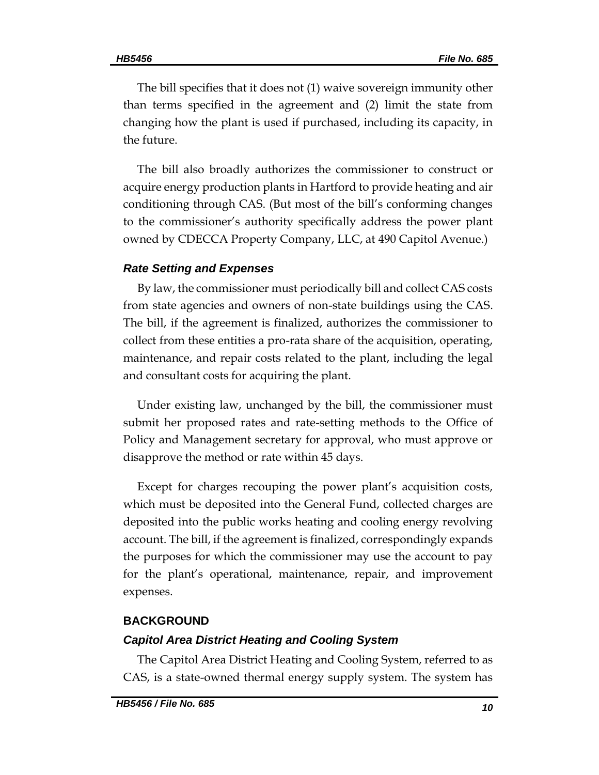The bill specifies that it does not (1) waive sovereign immunity other than terms specified in the agreement and (2) limit the state from changing how the plant is used if purchased, including its capacity, in the future.

The bill also broadly authorizes the commissioner to construct or acquire energy production plants in Hartford to provide heating and air conditioning through CAS. (But most of the bill's conforming changes to the commissioner's authority specifically address the power plant owned by CDECCA Property Company, LLC, at 490 Capitol Avenue.)

#### *Rate Setting and Expenses*

By law, the commissioner must periodically bill and collect CAS costs from state agencies and owners of non-state buildings using the CAS. The bill, if the agreement is finalized, authorizes the commissioner to collect from these entities a pro-rata share of the acquisition, operating, maintenance, and repair costs related to the plant, including the legal and consultant costs for acquiring the plant.

Under existing law, unchanged by the bill, the commissioner must submit her proposed rates and rate-setting methods to the Office of Policy and Management secretary for approval, who must approve or disapprove the method or rate within 45 days.

Except for charges recouping the power plant's acquisition costs, which must be deposited into the General Fund, collected charges are deposited into the public works heating and cooling energy revolving account. The bill, if the agreement is finalized, correspondingly expands the purposes for which the commissioner may use the account to pay for the plant's operational, maintenance, repair, and improvement expenses.

#### **BACKGROUND**

#### *Capitol Area District Heating and Cooling System*

The Capitol Area District Heating and Cooling System, referred to as CAS, is a state-owned thermal energy supply system. The system has